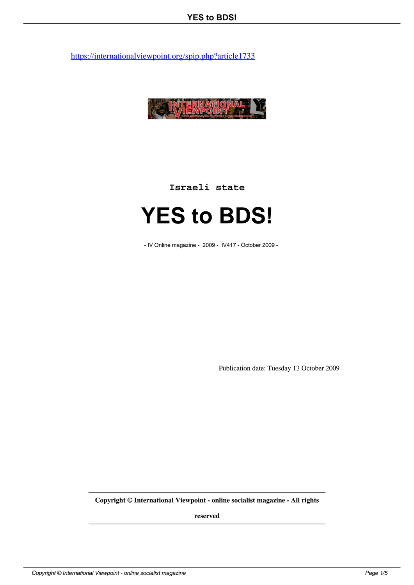

**Israeli state**

## **YES to BDS!**

- IV Online magazine - 2009 - IV417 - October 2009 -

Publication date: Tuesday 13 October 2009

**Copyright © International Viewpoint - online socialist magazine - All rights**

**reserved**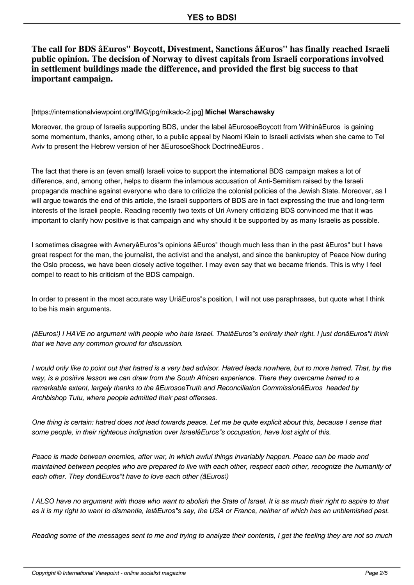**The call for BDS âEuros" Boycott, Divestment, Sanctions âEuros" has finally reached Israeli public opinion. The decision of Norway to divest capitals from Israeli corporations involved in settlement buildings made the difference, and provided the first big success to that important campaign.**

## [https://internationalviewpoint.org/IMG/jpg/mikado-2.jpg] **Michel Warschawsky**

Moreover, the group of Israelis supporting BDS, under the label âEurosoeBoycott from WithinâEuros is gaining some momentum, thanks, among other, to a public appeal by Naomi Klein to Israeli activists when she came to Tel Aviv to present the Hebrew version of her âEurosoeShock DoctrineâEuros .

The fact that there is an (even small) Israeli voice to support the international BDS campaign makes a lot of difference, and, among other, helps to disarm the infamous accusation of Anti-Semitism raised by the Israeli propaganda machine against everyone who dare to criticize the colonial policies of the Jewish State. Moreover, as I will argue towards the end of this article, the Israeli supporters of BDS are in fact expressing the true and long-term interests of the Israeli people. Reading recently two texts of Uri Avnery criticizing BDS convinced me that it was important to clarify how positive is that campaign and why should it be supported by as many Israelis as possible.

I sometimes disagree with AvneryâEuros"s opinions âEuros" though much less than in the past âEuros" but I have great respect for the man, the journalist, the activist and the analyst, and since the bankruptcy of Peace Now during the Oslo process, we have been closely active together. I may even say that we became friends. This is why I feel compel to react to his criticism of the BDS campaign.

In order to present in the most accurate way UriâEuros"s position, I will not use paraphrases, but quote what I think to be his main arguments.

(âEuros¦) I HAVE no argument with people who hate Israel. ThatâEuros"s entirely their right. I just donâEuros"t think that we have any common ground for discussion.

I would only like to point out that hatred is a very bad advisor. Hatred leads nowhere, but to more hatred. That, by the way, is a positive lesson we can draw from the South African experience. There they overcame hatred to a remarkable extent, largely thanks to the âEurosoeTruth and Reconciliation CommissionâEuros headed by Archbishop Tutu, where people admitted their past offenses.

One thing is certain: hatred does not lead towards peace. Let me be quite explicit about this, because I sense that some people, in their righteous indignation over IsraelâEuros"s occupation, have lost sight of this.

Peace is made between enemies, after war, in which awful things invariably happen. Peace can be made and maintained between peoples who are prepared to live with each other, respect each other, recognize the humanity of each other. They donâEuros"t have to love each other (âEuros¦)

I ALSO have no argument with those who want to abolish the State of Israel. It is as much their right to aspire to that as it is my right to want to dismantle, letâEuros"s say, the USA or France, neither of which has an unblemished past.

Reading some of the messages sent to me and trying to analyze their contents, I get the feeling they are not so much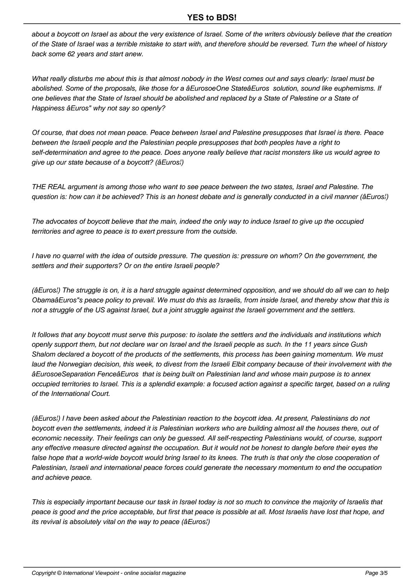about a boycott on Israel as about the very existence of Israel. Some of the writers obviously believe that the creation of the State of Israel was a terrible mistake to start with, and therefore should be reversed. Turn the wheel of history back some 62 years and start anew.

What really disturbs me about this is that almost nobody in the West comes out and says clearly: Israel must be abolished. Some of the proposals, like those for a âEurosoeOne StateâEuros solution, sound like euphemisms. If one believes that the State of Israel should be abolished and replaced by a State of Palestine or a State of Happiness âEuros" why not say so openly?

Of course, that does not mean peace. Peace between Israel and Palestine presupposes that Israel is there. Peace between the Israeli people and the Palestinian people presupposes that both peoples have a right to self-determination and agree to the peace. Does anyone really believe that racist monsters like us would agree to give up our state because of a boycott? (âEuros¦)

THE REAL argument is among those who want to see peace between the two states, Israel and Palestine. The question is: how can it be achieved? This is an honest debate and is generally conducted in a civil manner (âEuros¦)

The advocates of boycott believe that the main, indeed the only way to induce Israel to give up the occupied territories and agree to peace is to exert pressure from the outside.

I have no quarrel with the idea of outside pressure. The question is: pressure on whom? On the government, the settlers and their supporters? Or on the entire Israeli people?

(âEuros¦) The struggle is on, it is a hard struggle against determined opposition, and we should do all we can to help ObamaâEuros"s peace policy to prevail. We must do this as Israelis, from inside Israel, and thereby show that this is not a struggle of the US against Israel, but a joint struggle against the Israeli government and the settlers.

It follows that any boycott must serve this purpose: to isolate the settlers and the individuals and institutions which openly support them, but not declare war on Israel and the Israeli people as such. In the 11 years since Gush Shalom declared a boycott of the products of the settlements, this process has been gaining momentum. We must laud the Norwegian decision, this week, to divest from the Israeli Elbit company because of their involvement with the âEurosoeSeparation FenceâEuros that is being built on Palestinian land and whose main purpose is to annex occupied territories to Israel. This is a splendid example: a focused action against a specific target, based on a ruling of the International Court.

(âEuros¦) I have been asked about the Palestinian reaction to the boycott idea. At present, Palestinians do not boycott even the settlements, indeed it is Palestinian workers who are building almost all the houses there, out of economic necessity. Their feelings can only be guessed. All self-respecting Palestinians would, of course, support any effective measure directed against the occupation. But it would not be honest to dangle before their eyes the false hope that a world-wide boycott would bring Israel to its knees. The truth is that only the close cooperation of Palestinian, Israeli and international peace forces could generate the necessary momentum to end the occupation and achieve peace.

This is especially important because our task in Israel today is not so much to convince the majority of Israelis that peace is good and the price acceptable, but first that peace is possible at all. Most Israelis have lost that hope, and its revival is absolutely vital on the way to peace (âEuros¦)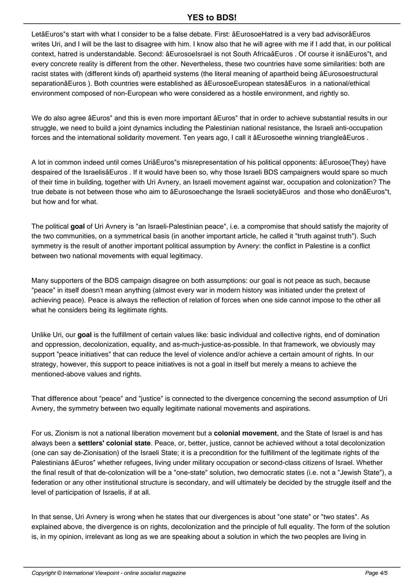LetâEuros"s start with what I consider to be a false debate. First: âEurosoeHatred is a very bad advisorâEuros writes Uri, and I will be the last to disagree with him. I know also that he will agree with me if I add that, in our political context, hatred is understandable. Second: âEurosoeIsrael is not South AfricaâEuros . Of course it isnâEuros"t, and every concrete reality is different from the other. Nevertheless, these two countries have some similarities: both are racist states with (different kinds of) apartheid systems (the literal meaning of apartheid being âEurosoestructural separationâEuros ). Both countries were established as âEurosoeEuropean statesâEuros in a national/ethical environment composed of non-European who were considered as a hostile environment, and rightly so.

We do also agree âEuros" and this is even more important âEuros" that in order to achieve substantial results in our struggle, we need to build a joint dynamics including the Palestinian national resistance, the Israeli anti-occupation forces and the international solidarity movement. Ten years ago, I call it âEurosoethe winning triangleâEuros.

A lot in common indeed until comes UriâEuros"s misrepresentation of his political opponents: âEurosoe(They) have despaired of the IsraelisâEuros . If it would have been so, why those Israeli BDS campaigners would spare so much of their time in building, together with Uri Avnery, an Israeli movement against war, occupation and colonization? The true debate is not between those who aim to âEurosoechange the Israeli societyâEuros and those who donâEuros"t, but how and for what.

The political **goal** of Uri Avnery is "an Israeli-Palestinian peace", i.e. a compromise that should satisfy the majority of the two communities, on a symmetrical basis (in another important article, he called it "truth against truth"). Such symmetry is the result of another important political assumption by Avnery: the conflict in Palestine is a conflict between two national movements with equal legitimacy.

Many supporters of the BDS campaign disagree on both assumptions: our goal is not peace as such, because "peace" in itself doesn't mean anything (almost every war in modern history was initiated under the pretext of achieving peace). Peace is always the reflection of relation of forces when one side cannot impose to the other all what he considers being its legitimate rights.

Unlike Uri, our **goal** is the fulfillment of certain values like: basic individual and collective rights, end of domination and oppression, decolonization, equality, and as-much-justice-as-possible. In that framework, we obviously may support "peace initiatives" that can reduce the level of violence and/or achieve a certain amount of rights. In our strategy, however, this support to peace initiatives is not a goal in itself but merely a means to achieve the mentioned-above values and rights.

That difference about "peace" and "justice" is connected to the divergence concerning the second assumption of Uri Avnery, the symmetry between two equally legitimate national movements and aspirations.

For us, Zionism is not a national liberation movement but a **colonial movement**, and the State of Israel is and has always been a **settlers' colonial state**. Peace, or, better, justice, cannot be achieved without a total decolonization (one can say de-Zionisation) of the Israeli State; it is a precondition for the fulfillment of the legitimate rights of the Palestinians âEuros" whether refugees, living under military occupation or second-class citizens of Israel. Whether the final result of that de-colonization will be a "one-state" solution, two democratic states (i.e. not a "Jewish State"), a federation or any other institutional structure is secondary, and will ultimately be decided by the struggle itself and the level of participation of Israelis, if at all.

In that sense, Uri Avnery is wrong when he states that our divergences is about "one state" or "two states". As explained above, the divergence is on rights, decolonization and the principle of full equality. The form of the solution is, in my opinion, irrelevant as long as we are speaking about a solution in which the two peoples are living in